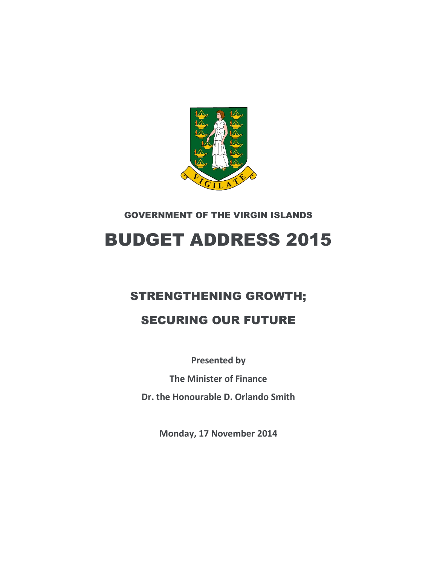

GOVERNMENT OF THE VIRGIN ISLANDS

# BUDGET ADDRESS 2015

# STRENGTHENING GROWTH;

# SECURING OUR FUTURE

**Presented by**

**The Minister of Finance**

**Dr. the Honourable D. Orlando Smith**

**Monday, 17 November 2014**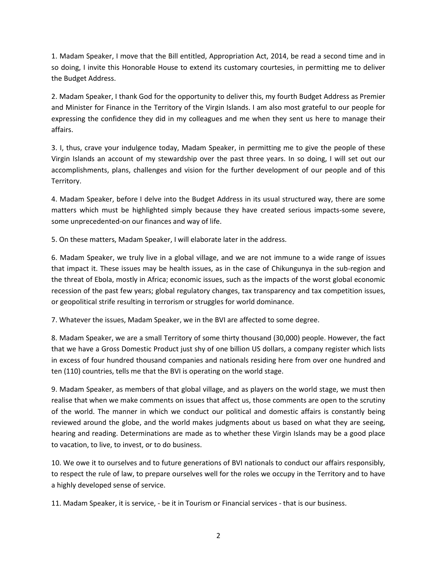1. Madam Speaker, I move that the Bill entitled, Appropriation Act, 2014, be read a second time and in so doing, I invite this Honorable House to extend its customary courtesies, in permitting me to deliver the Budget Address.

2. Madam Speaker, I thank God for the opportunity to deliver this, my fourth Budget Address as Premier and Minister for Finance in the Territory of the Virgin Islands. I am also most grateful to our people for expressing the confidence they did in my colleagues and me when they sent us here to manage their affairs.

3. I, thus, crave your indulgence today, Madam Speaker, in permitting me to give the people of these Virgin Islands an account of my stewardship over the past three years. In so doing, I will set out our accomplishments, plans, challenges and vision for the further development of our people and of this Territory.

4. Madam Speaker, before I delve into the Budget Address in its usual structured way, there are some matters which must be highlighted simply because they have created serious impacts-some severe, some unprecedented-on our finances and way of life.

5. On these matters, Madam Speaker, I will elaborate later in the address.

6. Madam Speaker, we truly live in a global village, and we are not immune to a wide range of issues that impact it. These issues may be health issues, as in the case of Chikungunya in the sub-region and the threat of Ebola, mostly in Africa; economic issues, such as the impacts of the worst global economic recession of the past few years; global regulatory changes, tax transparency and tax competition issues, or geopolitical strife resulting in terrorism or struggles for world dominance.

7. Whatever the issues, Madam Speaker, we in the BVI are affected to some degree.

8. Madam Speaker, we are a small Territory of some thirty thousand (30,000) people. However, the fact that we have a Gross Domestic Product just shy of one billion US dollars, a company register which lists in excess of four hundred thousand companies and nationals residing here from over one hundred and ten (110) countries, tells me that the BVI is operating on the world stage.

9. Madam Speaker, as members of that global village, and as players on the world stage, we must then realise that when we make comments on issues that affect us, those comments are open to the scrutiny of the world. The manner in which we conduct our political and domestic affairs is constantly being reviewed around the globe, and the world makes judgments about us based on what they are seeing, hearing and reading. Determinations are made as to whether these Virgin Islands may be a good place to vacation, to live, to invest, or to do business.

10. We owe it to ourselves and to future generations of BVI nationals to conduct our affairs responsibly, to respect the rule of law, to prepare ourselves well for the roles we occupy in the Territory and to have a highly developed sense of service.

11. Madam Speaker, it is service, - be it in Tourism or Financial services - that is our business.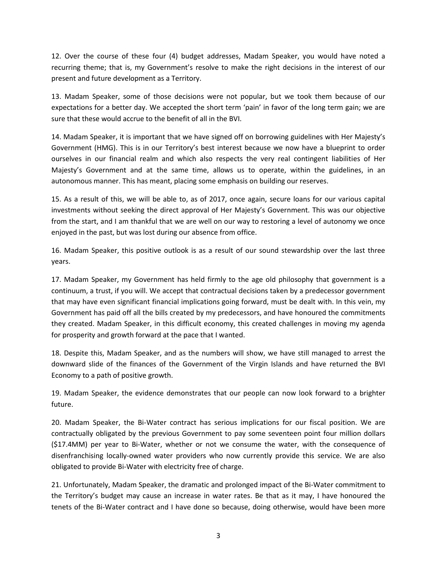12. Over the course of these four (4) budget addresses, Madam Speaker, you would have noted a recurring theme; that is, my Government's resolve to make the right decisions in the interest of our present and future development as a Territory.

13. Madam Speaker, some of those decisions were not popular, but we took them because of our expectations for a better day. We accepted the short term 'pain' in favor of the long term gain; we are sure that these would accrue to the benefit of all in the BVI.

14. Madam Speaker, it is important that we have signed off on borrowing guidelines with Her Majesty's Government (HMG). This is in our Territory's best interest because we now have a blueprint to order ourselves in our financial realm and which also respects the very real contingent liabilities of Her Majesty's Government and at the same time, allows us to operate, within the guidelines, in an autonomous manner. This has meant, placing some emphasis on building our reserves.

15. As a result of this, we will be able to, as of 2017, once again, secure loans for our various capital investments without seeking the direct approval of Her Majesty's Government. This was our objective from the start, and I am thankful that we are well on our way to restoring a level of autonomy we once enjoyed in the past, but was lost during our absence from office.

16. Madam Speaker, this positive outlook is as a result of our sound stewardship over the last three years.

17. Madam Speaker, my Government has held firmly to the age old philosophy that government is a continuum, a trust, if you will. We accept that contractual decisions taken by a predecessor government that may have even significant financial implications going forward, must be dealt with. In this vein, my Government has paid off all the bills created by my predecessors, and have honoured the commitments they created. Madam Speaker, in this difficult economy, this created challenges in moving my agenda for prosperity and growth forward at the pace that I wanted.

18. Despite this, Madam Speaker, and as the numbers will show, we have still managed to arrest the downward slide of the finances of the Government of the Virgin Islands and have returned the BVI Economy to a path of positive growth.

19. Madam Speaker, the evidence demonstrates that our people can now look forward to a brighter future.

20. Madam Speaker, the Bi-Water contract has serious implications for our fiscal position. We are contractually obligated by the previous Government to pay some seventeen point four million dollars (\$17.4MM) per year to Bi-Water, whether or not we consume the water, with the consequence of disenfranchising locally-owned water providers who now currently provide this service. We are also obligated to provide Bi-Water with electricity free of charge.

21. Unfortunately, Madam Speaker, the dramatic and prolonged impact of the Bi-Water commitment to the Territory's budget may cause an increase in water rates. Be that as it may, I have honoured the tenets of the Bi-Water contract and I have done so because, doing otherwise, would have been more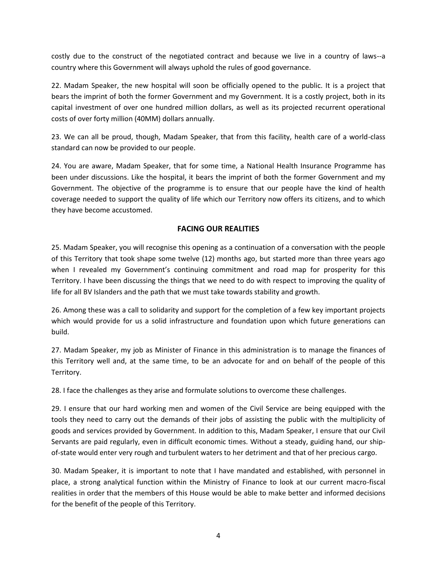costly due to the construct of the negotiated contract and because we live in a country of laws--a country where this Government will always uphold the rules of good governance.

22. Madam Speaker, the new hospital will soon be officially opened to the public. It is a project that bears the imprint of both the former Government and my Government. It is a costly project, both in its capital investment of over one hundred million dollars, as well as its projected recurrent operational costs of over forty million (40MM) dollars annually.

23. We can all be proud, though, Madam Speaker, that from this facility, health care of a world-class standard can now be provided to our people.

24. You are aware, Madam Speaker, that for some time, a National Health Insurance Programme has been under discussions. Like the hospital, it bears the imprint of both the former Government and my Government. The objective of the programme is to ensure that our people have the kind of health coverage needed to support the quality of life which our Territory now offers its citizens, and to which they have become accustomed.

#### **FACING OUR REALITIES**

25. Madam Speaker, you will recognise this opening as a continuation of a conversation with the people of this Territory that took shape some twelve (12) months ago, but started more than three years ago when I revealed my Government's continuing commitment and road map for prosperity for this Territory. I have been discussing the things that we need to do with respect to improving the quality of life for all BV Islanders and the path that we must take towards stability and growth.

26. Among these was a call to solidarity and support for the completion of a few key important projects which would provide for us a solid infrastructure and foundation upon which future generations can build.

27. Madam Speaker, my job as Minister of Finance in this administration is to manage the finances of this Territory well and, at the same time, to be an advocate for and on behalf of the people of this Territory.

28. I face the challenges as they arise and formulate solutions to overcome these challenges.

29. I ensure that our hard working men and women of the Civil Service are being equipped with the tools they need to carry out the demands of their jobs of assisting the public with the multiplicity of goods and services provided by Government. In addition to this, Madam Speaker, I ensure that our Civil Servants are paid regularly, even in difficult economic times. Without a steady, guiding hand, our shipof-state would enter very rough and turbulent waters to her detriment and that of her precious cargo.

30. Madam Speaker, it is important to note that I have mandated and established, with personnel in place, a strong analytical function within the Ministry of Finance to look at our current macro-fiscal realities in order that the members of this House would be able to make better and informed decisions for the benefit of the people of this Territory.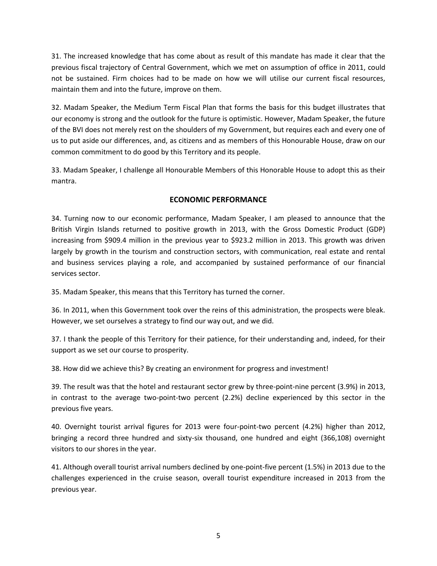31. The increased knowledge that has come about as result of this mandate has made it clear that the previous fiscal trajectory of Central Government, which we met on assumption of office in 2011, could not be sustained. Firm choices had to be made on how we will utilise our current fiscal resources, maintain them and into the future, improve on them.

32. Madam Speaker, the Medium Term Fiscal Plan that forms the basis for this budget illustrates that our economy is strong and the outlook for the future is optimistic. However, Madam Speaker, the future of the BVI does not merely rest on the shoulders of my Government, but requires each and every one of us to put aside our differences, and, as citizens and as members of this Honourable House, draw on our common commitment to do good by this Territory and its people.

33. Madam Speaker, I challenge all Honourable Members of this Honorable House to adopt this as their mantra.

### **ECONOMIC PERFORMANCE**

34. Turning now to our economic performance, Madam Speaker, I am pleased to announce that the British Virgin Islands returned to positive growth in 2013, with the Gross Domestic Product (GDP) increasing from \$909.4 million in the previous year to \$923.2 million in 2013. This growth was driven largely by growth in the tourism and construction sectors, with communication, real estate and rental and business services playing a role, and accompanied by sustained performance of our financial services sector.

35. Madam Speaker, this means that this Territory has turned the corner.

36. In 2011, when this Government took over the reins of this administration, the prospects were bleak. However, we set ourselves a strategy to find our way out, and we did.

37. I thank the people of this Territory for their patience, for their understanding and, indeed, for their support as we set our course to prosperity.

38. How did we achieve this? By creating an environment for progress and investment!

39. The result was that the hotel and restaurant sector grew by three-point-nine percent (3.9%) in 2013, in contrast to the average two-point-two percent (2.2%) decline experienced by this sector in the previous five years.

40. Overnight tourist arrival figures for 2013 were four-point-two percent (4.2%) higher than 2012, bringing a record three hundred and sixty-six thousand, one hundred and eight (366,108) overnight visitors to our shores in the year.

41. Although overall tourist arrival numbers declined by one-point-five percent (1.5%) in 2013 due to the challenges experienced in the cruise season, overall tourist expenditure increased in 2013 from the previous year.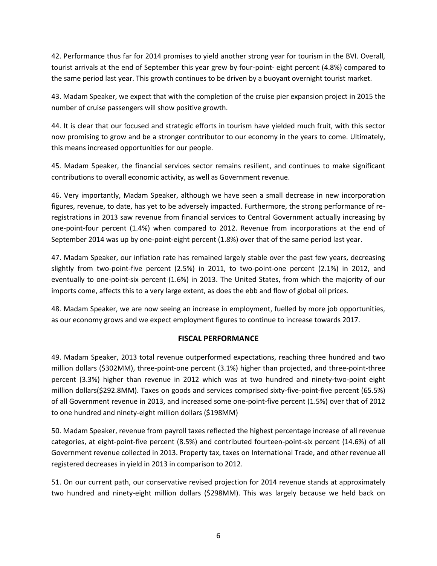42. Performance thus far for 2014 promises to yield another strong year for tourism in the BVI. Overall, tourist arrivals at the end of September this year grew by four-point- eight percent (4.8%) compared to the same period last year. This growth continues to be driven by a buoyant overnight tourist market.

43. Madam Speaker, we expect that with the completion of the cruise pier expansion project in 2015 the number of cruise passengers will show positive growth.

44. It is clear that our focused and strategic efforts in tourism have yielded much fruit, with this sector now promising to grow and be a stronger contributor to our economy in the years to come. Ultimately, this means increased opportunities for our people.

45. Madam Speaker, the financial services sector remains resilient, and continues to make significant contributions to overall economic activity, as well as Government revenue.

46. Very importantly, Madam Speaker, although we have seen a small decrease in new incorporation figures, revenue, to date, has yet to be adversely impacted. Furthermore, the strong performance of reregistrations in 2013 saw revenue from financial services to Central Government actually increasing by one-point-four percent (1.4%) when compared to 2012. Revenue from incorporations at the end of September 2014 was up by one-point-eight percent (1.8%) over that of the same period last year.

47. Madam Speaker, our inflation rate has remained largely stable over the past few years, decreasing slightly from two-point-five percent (2.5%) in 2011, to two-point-one percent (2.1%) in 2012, and eventually to one-point-six percent (1.6%) in 2013. The United States, from which the majority of our imports come, affects this to a very large extent, as does the ebb and flow of global oil prices.

48. Madam Speaker, we are now seeing an increase in employment, fuelled by more job opportunities, as our economy grows and we expect employment figures to continue to increase towards 2017.

#### **FISCAL PERFORMANCE**

49. Madam Speaker, 2013 total revenue outperformed expectations, reaching three hundred and two million dollars (\$302MM), three-point-one percent (3.1%) higher than projected, and three-point-three percent (3.3%) higher than revenue in 2012 which was at two hundred and ninety-two-point eight million dollars(\$292.8MM). Taxes on goods and services comprised sixty-five-point-five percent (65.5%) of all Government revenue in 2013, and increased some one-point-five percent (1.5%) over that of 2012 to one hundred and ninety-eight million dollars (\$198MM)

50. Madam Speaker, revenue from payroll taxes reflected the highest percentage increase of all revenue categories, at eight-point-five percent (8.5%) and contributed fourteen-point-six percent (14.6%) of all Government revenue collected in 2013. Property tax, taxes on International Trade, and other revenue all registered decreases in yield in 2013 in comparison to 2012.

51. On our current path, our conservative revised projection for 2014 revenue stands at approximately two hundred and ninety-eight million dollars (\$298MM). This was largely because we held back on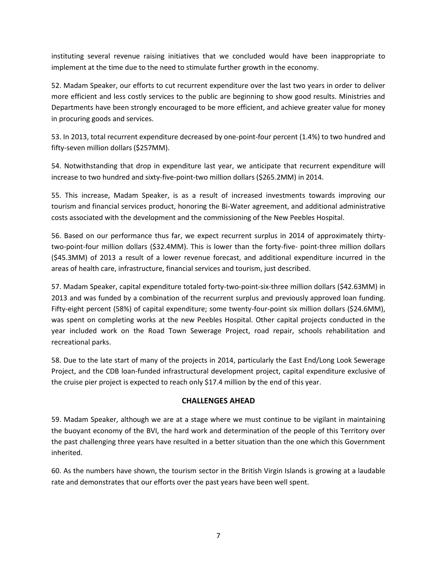instituting several revenue raising initiatives that we concluded would have been inappropriate to implement at the time due to the need to stimulate further growth in the economy.

52. Madam Speaker, our efforts to cut recurrent expenditure over the last two years in order to deliver more efficient and less costly services to the public are beginning to show good results. Ministries and Departments have been strongly encouraged to be more efficient, and achieve greater value for money in procuring goods and services.

53. In 2013, total recurrent expenditure decreased by one-point-four percent (1.4%) to two hundred and fifty-seven million dollars (\$257MM).

54. Notwithstanding that drop in expenditure last year, we anticipate that recurrent expenditure will increase to two hundred and sixty-five-point-two million dollars (\$265.2MM) in 2014.

55. This increase, Madam Speaker, is as a result of increased investments towards improving our tourism and financial services product, honoring the Bi-Water agreement, and additional administrative costs associated with the development and the commissioning of the New Peebles Hospital.

56. Based on our performance thus far, we expect recurrent surplus in 2014 of approximately thirtytwo-point-four million dollars (\$32.4MM). This is lower than the forty-five- point-three million dollars (\$45.3MM) of 2013 a result of a lower revenue forecast, and additional expenditure incurred in the areas of health care, infrastructure, financial services and tourism, just described.

57. Madam Speaker, capital expenditure totaled forty-two-point-six-three million dollars (\$42.63MM) in 2013 and was funded by a combination of the recurrent surplus and previously approved loan funding. Fifty-eight percent (58%) of capital expenditure; some twenty-four-point six million dollars (\$24.6MM), was spent on completing works at the new Peebles Hospital. Other capital projects conducted in the year included work on the Road Town Sewerage Project, road repair, schools rehabilitation and recreational parks.

58. Due to the late start of many of the projects in 2014, particularly the East End/Long Look Sewerage Project, and the CDB loan-funded infrastructural development project, capital expenditure exclusive of the cruise pier project is expected to reach only \$17.4 million by the end of this year.

#### **CHALLENGES AHEAD**

59. Madam Speaker, although we are at a stage where we must continue to be vigilant in maintaining the buoyant economy of the BVI, the hard work and determination of the people of this Territory over the past challenging three years have resulted in a better situation than the one which this Government inherited.

60. As the numbers have shown, the tourism sector in the British Virgin Islands is growing at a laudable rate and demonstrates that our efforts over the past years have been well spent.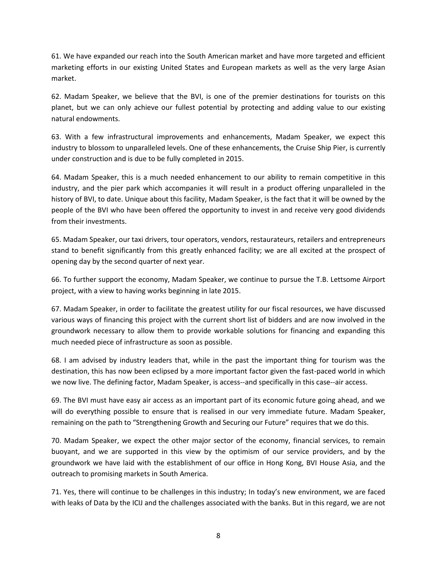61. We have expanded our reach into the South American market and have more targeted and efficient marketing efforts in our existing United States and European markets as well as the very large Asian market.

62. Madam Speaker, we believe that the BVI, is one of the premier destinations for tourists on this planet, but we can only achieve our fullest potential by protecting and adding value to our existing natural endowments.

63. With a few infrastructural improvements and enhancements, Madam Speaker, we expect this industry to blossom to unparalleled levels. One of these enhancements, the Cruise Ship Pier, is currently under construction and is due to be fully completed in 2015.

64. Madam Speaker, this is a much needed enhancement to our ability to remain competitive in this industry, and the pier park which accompanies it will result in a product offering unparalleled in the history of BVI, to date. Unique about this facility, Madam Speaker, is the fact that it will be owned by the people of the BVI who have been offered the opportunity to invest in and receive very good dividends from their investments.

65. Madam Speaker, our taxi drivers, tour operators, vendors, restaurateurs, retailers and entrepreneurs stand to benefit significantly from this greatly enhanced facility; we are all excited at the prospect of opening day by the second quarter of next year.

66. To further support the economy, Madam Speaker, we continue to pursue the T.B. Lettsome Airport project, with a view to having works beginning in late 2015.

67. Madam Speaker, in order to facilitate the greatest utility for our fiscal resources, we have discussed various ways of financing this project with the current short list of bidders and are now involved in the groundwork necessary to allow them to provide workable solutions for financing and expanding this much needed piece of infrastructure as soon as possible.

68. I am advised by industry leaders that, while in the past the important thing for tourism was the destination, this has now been eclipsed by a more important factor given the fast-paced world in which we now live. The defining factor, Madam Speaker, is access--and specifically in this case--air access.

69. The BVI must have easy air access as an important part of its economic future going ahead, and we will do everything possible to ensure that is realised in our very immediate future. Madam Speaker, remaining on the path to "Strengthening Growth and Securing our Future" requires that we do this.

70. Madam Speaker, we expect the other major sector of the economy, financial services, to remain buoyant, and we are supported in this view by the optimism of our service providers, and by the groundwork we have laid with the establishment of our office in Hong Kong, BVI House Asia, and the outreach to promising markets in South America.

71. Yes, there will continue to be challenges in this industry; In today's new environment, we are faced with leaks of Data by the ICIJ and the challenges associated with the banks. But in this regard, we are not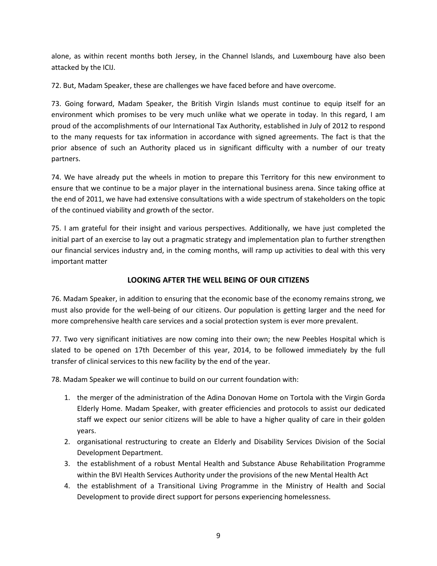alone, as within recent months both Jersey, in the Channel Islands, and Luxembourg have also been attacked by the ICIJ.

72. But, Madam Speaker, these are challenges we have faced before and have overcome.

73. Going forward, Madam Speaker, the British Virgin Islands must continue to equip itself for an environment which promises to be very much unlike what we operate in today. In this regard, I am proud of the accomplishments of our International Tax Authority, established in July of 2012 to respond to the many requests for tax information in accordance with signed agreements. The fact is that the prior absence of such an Authority placed us in significant difficulty with a number of our treaty partners.

74. We have already put the wheels in motion to prepare this Territory for this new environment to ensure that we continue to be a major player in the international business arena. Since taking office at the end of 2011, we have had extensive consultations with a wide spectrum of stakeholders on the topic of the continued viability and growth of the sector.

75. I am grateful for their insight and various perspectives. Additionally, we have just completed the initial part of an exercise to lay out a pragmatic strategy and implementation plan to further strengthen our financial services industry and, in the coming months, will ramp up activities to deal with this very important matter

#### **LOOKING AFTER THE WELL BEING OF OUR CITIZENS**

76. Madam Speaker, in addition to ensuring that the economic base of the economy remains strong, we must also provide for the well-being of our citizens. Our population is getting larger and the need for more comprehensive health care services and a social protection system is ever more prevalent.

77. Two very significant initiatives are now coming into their own; the new Peebles Hospital which is slated to be opened on 17th December of this year, 2014, to be followed immediately by the full transfer of clinical services to this new facility by the end of the year.

78. Madam Speaker we will continue to build on our current foundation with:

- 1. the merger of the administration of the Adina Donovan Home on Tortola with the Virgin Gorda Elderly Home. Madam Speaker, with greater efficiencies and protocols to assist our dedicated staff we expect our senior citizens will be able to have a higher quality of care in their golden years.
- 2. organisational restructuring to create an Elderly and Disability Services Division of the Social Development Department.
- 3. the establishment of a robust Mental Health and Substance Abuse Rehabilitation Programme within the BVI Health Services Authority under the provisions of the new Mental Health Act
- 4. the establishment of a Transitional Living Programme in the Ministry of Health and Social Development to provide direct support for persons experiencing homelessness.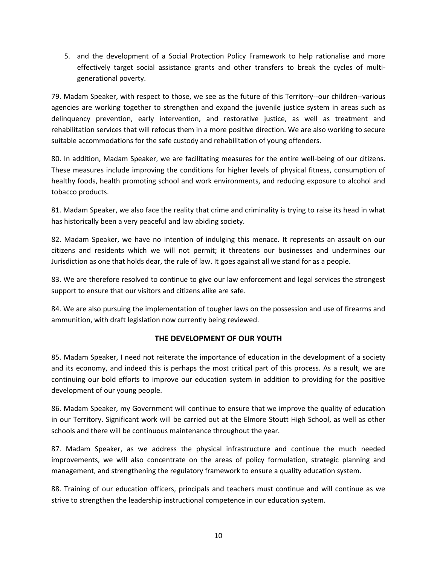5. and the development of a Social Protection Policy Framework to help rationalise and more effectively target social assistance grants and other transfers to break the cycles of multigenerational poverty.

79. Madam Speaker, with respect to those, we see as the future of this Territory--our children--various agencies are working together to strengthen and expand the juvenile justice system in areas such as delinquency prevention, early intervention, and restorative justice, as well as treatment and rehabilitation services that will refocus them in a more positive direction. We are also working to secure suitable accommodations for the safe custody and rehabilitation of young offenders.

80. In addition, Madam Speaker, we are facilitating measures for the entire well-being of our citizens. These measures include improving the conditions for higher levels of physical fitness, consumption of healthy foods, health promoting school and work environments, and reducing exposure to alcohol and tobacco products.

81. Madam Speaker, we also face the reality that crime and criminality is trying to raise its head in what has historically been a very peaceful and law abiding society.

82. Madam Speaker, we have no intention of indulging this menace. It represents an assault on our citizens and residents which we will not permit; it threatens our businesses and undermines our Jurisdiction as one that holds dear, the rule of law. It goes against all we stand for as a people.

83. We are therefore resolved to continue to give our law enforcement and legal services the strongest support to ensure that our visitors and citizens alike are safe.

84. We are also pursuing the implementation of tougher laws on the possession and use of firearms and ammunition, with draft legislation now currently being reviewed.

#### **THE DEVELOPMENT OF OUR YOUTH**

85. Madam Speaker, I need not reiterate the importance of education in the development of a society and its economy, and indeed this is perhaps the most critical part of this process. As a result, we are continuing our bold efforts to improve our education system in addition to providing for the positive development of our young people.

86. Madam Speaker, my Government will continue to ensure that we improve the quality of education in our Territory. Significant work will be carried out at the Elmore Stoutt High School, as well as other schools and there will be continuous maintenance throughout the year.

87. Madam Speaker, as we address the physical infrastructure and continue the much needed improvements, we will also concentrate on the areas of policy formulation, strategic planning and management, and strengthening the regulatory framework to ensure a quality education system.

88. Training of our education officers, principals and teachers must continue and will continue as we strive to strengthen the leadership instructional competence in our education system.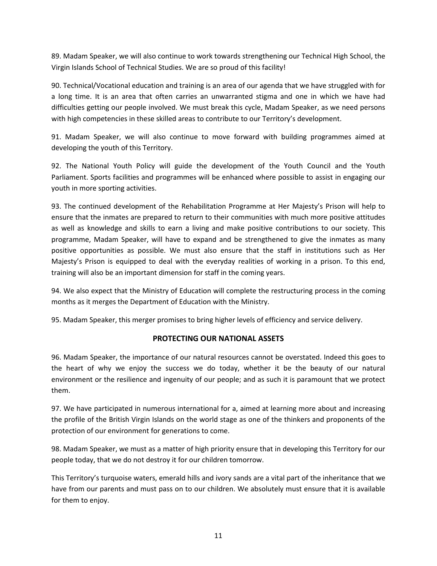89. Madam Speaker, we will also continue to work towards strengthening our Technical High School, the Virgin Islands School of Technical Studies. We are so proud of this facility!

90. Technical/Vocational education and training is an area of our agenda that we have struggled with for a long time. It is an area that often carries an unwarranted stigma and one in which we have had difficulties getting our people involved. We must break this cycle, Madam Speaker, as we need persons with high competencies in these skilled areas to contribute to our Territory's development.

91. Madam Speaker, we will also continue to move forward with building programmes aimed at developing the youth of this Territory.

92. The National Youth Policy will guide the development of the Youth Council and the Youth Parliament. Sports facilities and programmes will be enhanced where possible to assist in engaging our youth in more sporting activities.

93. The continued development of the Rehabilitation Programme at Her Majesty's Prison will help to ensure that the inmates are prepared to return to their communities with much more positive attitudes as well as knowledge and skills to earn a living and make positive contributions to our society. This programme, Madam Speaker, will have to expand and be strengthened to give the inmates as many positive opportunities as possible. We must also ensure that the staff in institutions such as Her Majesty's Prison is equipped to deal with the everyday realities of working in a prison. To this end, training will also be an important dimension for staff in the coming years.

94. We also expect that the Ministry of Education will complete the restructuring process in the coming months as it merges the Department of Education with the Ministry.

95. Madam Speaker, this merger promises to bring higher levels of efficiency and service delivery.

#### **PROTECTING OUR NATIONAL ASSETS**

96. Madam Speaker, the importance of our natural resources cannot be overstated. Indeed this goes to the heart of why we enjoy the success we do today, whether it be the beauty of our natural environment or the resilience and ingenuity of our people; and as such it is paramount that we protect them.

97. We have participated in numerous international for a, aimed at learning more about and increasing the profile of the British Virgin Islands on the world stage as one of the thinkers and proponents of the protection of our environment for generations to come.

98. Madam Speaker, we must as a matter of high priority ensure that in developing this Territory for our people today, that we do not destroy it for our children tomorrow.

This Territory's turquoise waters, emerald hills and ivory sands are a vital part of the inheritance that we have from our parents and must pass on to our children. We absolutely must ensure that it is available for them to enjoy.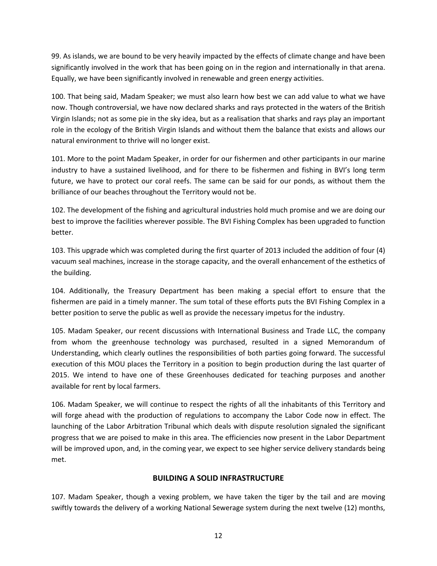99. As islands, we are bound to be very heavily impacted by the effects of climate change and have been significantly involved in the work that has been going on in the region and internationally in that arena. Equally, we have been significantly involved in renewable and green energy activities.

100. That being said, Madam Speaker; we must also learn how best we can add value to what we have now. Though controversial, we have now declared sharks and rays protected in the waters of the British Virgin Islands; not as some pie in the sky idea, but as a realisation that sharks and rays play an important role in the ecology of the British Virgin Islands and without them the balance that exists and allows our natural environment to thrive will no longer exist.

101. More to the point Madam Speaker, in order for our fishermen and other participants in our marine industry to have a sustained livelihood, and for there to be fishermen and fishing in BVI's long term future, we have to protect our coral reefs. The same can be said for our ponds, as without them the brilliance of our beaches throughout the Territory would not be.

102. The development of the fishing and agricultural industries hold much promise and we are doing our best to improve the facilities wherever possible. The BVI Fishing Complex has been upgraded to function better.

103. This upgrade which was completed during the first quarter of 2013 included the addition of four (4) vacuum seal machines, increase in the storage capacity, and the overall enhancement of the esthetics of the building.

104. Additionally, the Treasury Department has been making a special effort to ensure that the fishermen are paid in a timely manner. The sum total of these efforts puts the BVI Fishing Complex in a better position to serve the public as well as provide the necessary impetus for the industry.

105. Madam Speaker, our recent discussions with International Business and Trade LLC, the company from whom the greenhouse technology was purchased, resulted in a signed Memorandum of Understanding, which clearly outlines the responsibilities of both parties going forward. The successful execution of this MOU places the Territory in a position to begin production during the last quarter of 2015. We intend to have one of these Greenhouses dedicated for teaching purposes and another available for rent by local farmers.

106. Madam Speaker, we will continue to respect the rights of all the inhabitants of this Territory and will forge ahead with the production of regulations to accompany the Labor Code now in effect. The launching of the Labor Arbitration Tribunal which deals with dispute resolution signaled the significant progress that we are poised to make in this area. The efficiencies now present in the Labor Department will be improved upon, and, in the coming year, we expect to see higher service delivery standards being met.

#### **BUILDING A SOLID INFRASTRUCTURE**

107. Madam Speaker, though a vexing problem, we have taken the tiger by the tail and are moving swiftly towards the delivery of a working National Sewerage system during the next twelve (12) months,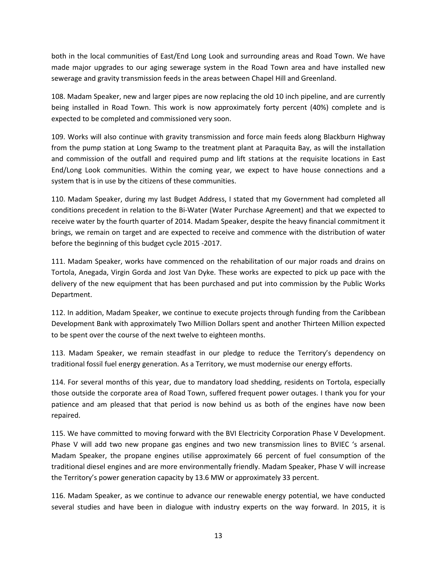both in the local communities of East/End Long Look and surrounding areas and Road Town. We have made major upgrades to our aging sewerage system in the Road Town area and have installed new sewerage and gravity transmission feeds in the areas between Chapel Hill and Greenland.

108. Madam Speaker, new and larger pipes are now replacing the old 10 inch pipeline, and are currently being installed in Road Town. This work is now approximately forty percent (40%) complete and is expected to be completed and commissioned very soon.

109. Works will also continue with gravity transmission and force main feeds along Blackburn Highway from the pump station at Long Swamp to the treatment plant at Paraquita Bay, as will the installation and commission of the outfall and required pump and lift stations at the requisite locations in East End/Long Look communities. Within the coming year, we expect to have house connections and a system that is in use by the citizens of these communities.

110. Madam Speaker, during my last Budget Address, I stated that my Government had completed all conditions precedent in relation to the Bi-Water (Water Purchase Agreement) and that we expected to receive water by the fourth quarter of 2014. Madam Speaker, despite the heavy financial commitment it brings, we remain on target and are expected to receive and commence with the distribution of water before the beginning of this budget cycle 2015 -2017.

111. Madam Speaker, works have commenced on the rehabilitation of our major roads and drains on Tortola, Anegada, Virgin Gorda and Jost Van Dyke. These works are expected to pick up pace with the delivery of the new equipment that has been purchased and put into commission by the Public Works Department.

112. In addition, Madam Speaker, we continue to execute projects through funding from the Caribbean Development Bank with approximately Two Million Dollars spent and another Thirteen Million expected to be spent over the course of the next twelve to eighteen months.

113. Madam Speaker, we remain steadfast in our pledge to reduce the Territory's dependency on traditional fossil fuel energy generation. As a Territory, we must modernise our energy efforts.

114. For several months of this year, due to mandatory load shedding, residents on Tortola, especially those outside the corporate area of Road Town, suffered frequent power outages. I thank you for your patience and am pleased that that period is now behind us as both of the engines have now been repaired.

115. We have committed to moving forward with the BVI Electricity Corporation Phase V Development. Phase V will add two new propane gas engines and two new transmission lines to BVIEC 's arsenal. Madam Speaker, the propane engines utilise approximately 66 percent of fuel consumption of the traditional diesel engines and are more environmentally friendly. Madam Speaker, Phase V will increase the Territory's power generation capacity by 13.6 MW or approximately 33 percent.

116. Madam Speaker, as we continue to advance our renewable energy potential, we have conducted several studies and have been in dialogue with industry experts on the way forward. In 2015, it is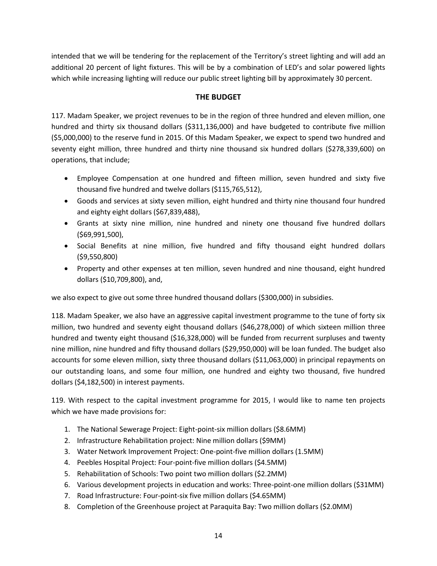intended that we will be tendering for the replacement of the Territory's street lighting and will add an additional 20 percent of light fixtures. This will be by a combination of LED's and solar powered lights which while increasing lighting will reduce our public street lighting bill by approximately 30 percent.

### **THE BUDGET**

117. Madam Speaker, we project revenues to be in the region of three hundred and eleven million, one hundred and thirty six thousand dollars (\$311,136,000) and have budgeted to contribute five million (\$5,000,000) to the reserve fund in 2015. Of this Madam Speaker, we expect to spend two hundred and seventy eight million, three hundred and thirty nine thousand six hundred dollars (\$278,339,600) on operations, that include;

- Employee Compensation at one hundred and fifteen million, seven hundred and sixty five thousand five hundred and twelve dollars (\$115,765,512),
- Goods and services at sixty seven million, eight hundred and thirty nine thousand four hundred and eighty eight dollars (\$67,839,488),
- Grants at sixty nine million, nine hundred and ninety one thousand five hundred dollars (\$69,991,500),
- Social Benefits at nine million, five hundred and fifty thousand eight hundred dollars (\$9,550,800)
- Property and other expenses at ten million, seven hundred and nine thousand, eight hundred dollars (\$10,709,800), and,

we also expect to give out some three hundred thousand dollars (\$300,000) in subsidies.

118. Madam Speaker, we also have an aggressive capital investment programme to the tune of forty six million, two hundred and seventy eight thousand dollars (\$46,278,000) of which sixteen million three hundred and twenty eight thousand (\$16,328,000) will be funded from recurrent surpluses and twenty nine million, nine hundred and fifty thousand dollars (\$29,950,000) will be loan funded. The budget also accounts for some eleven million, sixty three thousand dollars (\$11,063,000) in principal repayments on our outstanding loans, and some four million, one hundred and eighty two thousand, five hundred dollars (\$4,182,500) in interest payments.

119. With respect to the capital investment programme for 2015, I would like to name ten projects which we have made provisions for:

- 1. The National Sewerage Project: Eight-point-six million dollars (\$8.6MM)
- 2. Infrastructure Rehabilitation project: Nine million dollars (\$9MM)
- 3. Water Network Improvement Project: One-point-five million dollars (1.5MM)
- 4. Peebles Hospital Project: Four-point-five million dollars (\$4.5MM)
- 5. Rehabilitation of Schools: Two point two million dollars (\$2.2MM)
- 6. Various development projects in education and works: Three-point-one million dollars (\$31MM)
- 7. Road Infrastructure: Four-point-six five million dollars (\$4.65MM)
- 8. Completion of the Greenhouse project at Paraquita Bay: Two million dollars (\$2.0MM)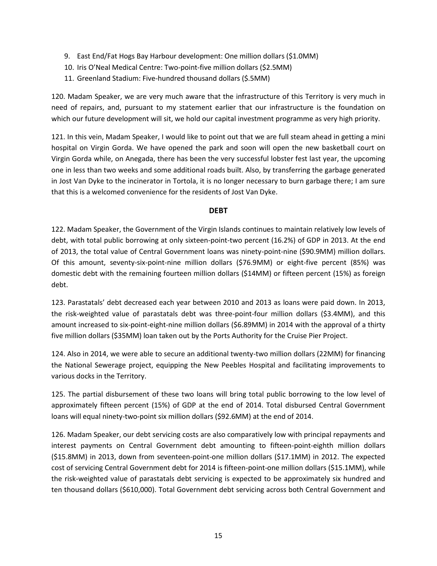- 9. East End/Fat Hogs Bay Harbour development: One million dollars (\$1.0MM)
- 10. Iris O'Neal Medical Centre: Two-point-five million dollars (\$2.5MM)
- 11. Greenland Stadium: Five-hundred thousand dollars (\$.5MM)

120. Madam Speaker, we are very much aware that the infrastructure of this Territory is very much in need of repairs, and, pursuant to my statement earlier that our infrastructure is the foundation on which our future development will sit, we hold our capital investment programme as very high priority.

121. In this vein, Madam Speaker, I would like to point out that we are full steam ahead in getting a mini hospital on Virgin Gorda. We have opened the park and soon will open the new basketball court on Virgin Gorda while, on Anegada, there has been the very successful lobster fest last year, the upcoming one in less than two weeks and some additional roads built. Also, by transferring the garbage generated in Jost Van Dyke to the incinerator in Tortola, it is no longer necessary to burn garbage there; I am sure that this is a welcomed convenience for the residents of Jost Van Dyke.

#### **DEBT**

122. Madam Speaker, the Government of the Virgin Islands continues to maintain relatively low levels of debt, with total public borrowing at only sixteen-point-two percent (16.2%) of GDP in 2013. At the end of 2013, the total value of Central Government loans was ninety-point-nine (\$90.9MM) million dollars. Of this amount, seventy-six-point-nine million dollars (\$76.9MM) or eight-five percent (85%) was domestic debt with the remaining fourteen million dollars (\$14MM) or fifteen percent (15%) as foreign debt.

123. Parastatals' debt decreased each year between 2010 and 2013 as loans were paid down. In 2013, the risk-weighted value of parastatals debt was three-point-four million dollars (\$3.4MM), and this amount increased to six-point-eight-nine million dollars (\$6.89MM) in 2014 with the approval of a thirty five million dollars (\$35MM) loan taken out by the Ports Authority for the Cruise Pier Project.

124. Also in 2014, we were able to secure an additional twenty-two million dollars (22MM) for financing the National Sewerage project, equipping the New Peebles Hospital and facilitating improvements to various docks in the Territory.

125. The partial disbursement of these two loans will bring total public borrowing to the low level of approximately fifteen percent (15%) of GDP at the end of 2014. Total disbursed Central Government loans will equal ninety-two-point six million dollars (\$92.6MM) at the end of 2014.

126. Madam Speaker, our debt servicing costs are also comparatively low with principal repayments and interest payments on Central Government debt amounting to fifteen-point-eighth million dollars (\$15.8MM) in 2013, down from seventeen-point-one million dollars (\$17.1MM) in 2012. The expected cost of servicing Central Government debt for 2014 is fifteen-point-one million dollars (\$15.1MM), while the risk-weighted value of parastatals debt servicing is expected to be approximately six hundred and ten thousand dollars (\$610,000). Total Government debt servicing across both Central Government and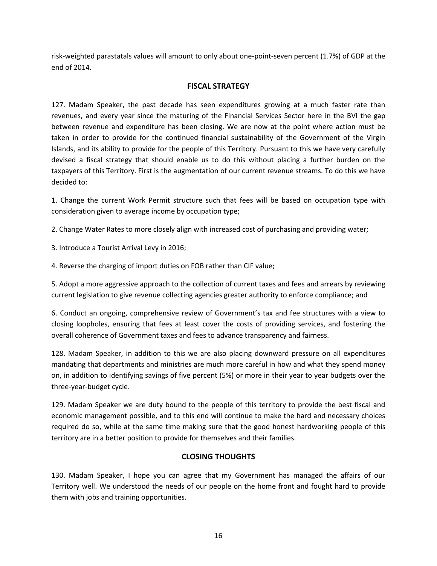risk-weighted parastatals values will amount to only about one-point-seven percent (1.7%) of GDP at the end of 2014.

#### **FISCAL STRATEGY**

127. Madam Speaker, the past decade has seen expenditures growing at a much faster rate than revenues, and every year since the maturing of the Financial Services Sector here in the BVI the gap between revenue and expenditure has been closing. We are now at the point where action must be taken in order to provide for the continued financial sustainability of the Government of the Virgin Islands, and its ability to provide for the people of this Territory. Pursuant to this we have very carefully devised a fiscal strategy that should enable us to do this without placing a further burden on the taxpayers of this Territory. First is the augmentation of our current revenue streams. To do this we have decided to:

1. Change the current Work Permit structure such that fees will be based on occupation type with consideration given to average income by occupation type;

2. Change Water Rates to more closely align with increased cost of purchasing and providing water;

3. Introduce a Tourist Arrival Levy in 2016;

4. Reverse the charging of import duties on FOB rather than CIF value;

5. Adopt a more aggressive approach to the collection of current taxes and fees and arrears by reviewing current legislation to give revenue collecting agencies greater authority to enforce compliance; and

6. Conduct an ongoing, comprehensive review of Government's tax and fee structures with a view to closing loopholes, ensuring that fees at least cover the costs of providing services, and fostering the overall coherence of Government taxes and fees to advance transparency and fairness.

128. Madam Speaker, in addition to this we are also placing downward pressure on all expenditures mandating that departments and ministries are much more careful in how and what they spend money on, in addition to identifying savings of five percent (5%) or more in their year to year budgets over the three-year-budget cycle.

129. Madam Speaker we are duty bound to the people of this territory to provide the best fiscal and economic management possible, and to this end will continue to make the hard and necessary choices required do so, while at the same time making sure that the good honest hardworking people of this territory are in a better position to provide for themselves and their families.

#### **CLOSING THOUGHTS**

130. Madam Speaker, I hope you can agree that my Government has managed the affairs of our Territory well. We understood the needs of our people on the home front and fought hard to provide them with jobs and training opportunities.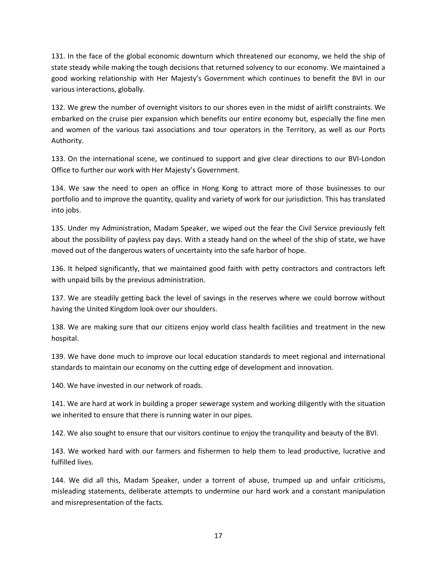131. In the face of the global economic downturn which threatened our economy, we held the ship of state steady while making the tough decisions that returned solvency to our economy. We maintained a good working relationship with Her Majesty's Government which continues to benefit the BVI in our various interactions, globally.

132. We grew the number of overnight visitors to our shores even in the midst of airlift constraints. We embarked on the cruise pier expansion which benefits our entire economy but, especially the fine men and women of the various taxi associations and tour operators in the Territory, as well as our Ports Authority.

133. On the international scene, we continued to support and give clear directions to our BVI-London Office to further our work with Her Majesty's Government.

134. We saw the need to open an office in Hong Kong to attract more of those businesses to our portfolio and to improve the quantity, quality and variety of work for our jurisdiction. This has translated into jobs.

135. Under my Administration, Madam Speaker, we wiped out the fear the Civil Service previously felt about the possibility of payless pay days. With a steady hand on the wheel of the ship of state, we have moved out of the dangerous waters of uncertainty into the safe harbor of hope.

136. It helped significantly, that we maintained good faith with petty contractors and contractors left with unpaid bills by the previous administration.

137. We are steadily getting back the level of savings in the reserves where we could borrow without having the United Kingdom look over our shoulders.

138. We are making sure that our citizens enjoy world class health facilities and treatment in the new hospital.

139. We have done much to improve our local education standards to meet regional and international standards to maintain our economy on the cutting edge of development and innovation.

140. We have invested in our network of roads.

141. We are hard at work in building a proper sewerage system and working diligently with the situation we inherited to ensure that there is running water in our pipes.

142. We also sought to ensure that our visitors continue to enjoy the tranquility and beauty of the BVI.

143. We worked hard with our farmers and fishermen to help them to lead productive, lucrative and fulfilled lives.

144. We did all this, Madam Speaker, under a torrent of abuse, trumped up and unfair criticisms, misleading statements, deliberate attempts to undermine our hard work and a constant manipulation and misrepresentation of the facts.